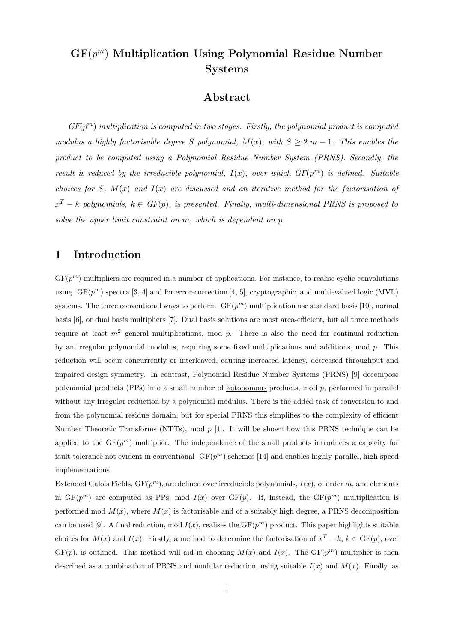# $\mathbf{GF}(p^m)$  Multiplication Using Polynomial Residue Number Systems

### Abstract

 $GF(p^m)$  multiplication is computed in two stages. Firstly, the polynomial product is computed modulus a highly factorisable degree S polynomial,  $M(x)$ , with  $S \geq 2m - 1$ . This enables the product to be computed using a Polynomial Residue Number System (PRNS). Secondly, the result is reduced by the irreducible polynomial,  $I(x)$ , over which  $GF(p^m)$  is defined. Suitable choices for S,  $M(x)$  and  $I(x)$  are discussed and an iterative method for the factorisation of  $x^T - k$  polynomials,  $k \in GF(p)$ , is presented. Finally, multi-dimensional PRNS is proposed to solve the upper limit constraint on m, which is dependent on p.

### 1 Introduction

 $GF(p<sup>m</sup>)$  multipliers are required in a number of applications. For instance, to realise cyclic convolutions using  $GF(p^m)$  spectra [3, 4] and for error-correction [4, 5], cryptographic, and multi-valued logic (MVL) systems. The three conventional ways to perform  $GF(p^m)$  multiplication use standard basis [10], normal basis [6], or dual basis multipliers [7]. Dual basis solutions are most area-efficient, but all three methods require at least  $m^2$  general multiplications, mod p. There is also the need for continual reduction by an irregular polynomial modulus, requiring some fixed multiplications and additions, mod p. This reduction will occur concurrently or interleaved, causing increased latency, decreased throughput and impaired design symmetry. In contrast, Polynomial Residue Number Systems (PRNS) [9] decompose polynomial products (PPs) into a small number of autonomous products, mod p, performed in parallel without any irregular reduction by a polynomial modulus. There is the added task of conversion to and from the polynomial residue domain, but for special PRNS this simplifies to the complexity of efficient Number Theoretic Transforms (NTTs), mod  $p$  [1]. It will be shown how this PRNS technique can be applied to the  $GF(p^m)$  multiplier. The independence of the small products introduces a capacity for fault-tolerance not evident in conventional  $GF(p^m)$  schemes [14] and enables highly-parallel, high-speed implementations.

Extended Galois Fields,  $GF(p^m)$ , are defined over irreducible polynomials,  $I(x)$ , of order m, and elements in  $GF(p^m)$  are computed as PPs, mod  $I(x)$  over  $GF(p)$ . If, instead, the  $GF(p^m)$  multiplication is performed mod  $M(x)$ , where  $M(x)$  is factorisable and of a suitably high degree, a PRNS decomposition can be used [9]. A final reduction, mod  $I(x)$ , realises the  $GF(p^m)$  product. This paper highlights suitable choices for  $M(x)$  and  $I(x)$ . Firstly, a method to determine the factorisation of  $x^T - k$ ,  $k \in GF(p)$ , over  $GF(p)$ , is outlined. This method will aid in choosing  $M(x)$  and  $I(x)$ . The  $GF(p^m)$  multiplier is then described as a combination of PRNS and modular reduction, using suitable  $I(x)$  and  $M(x)$ . Finally, as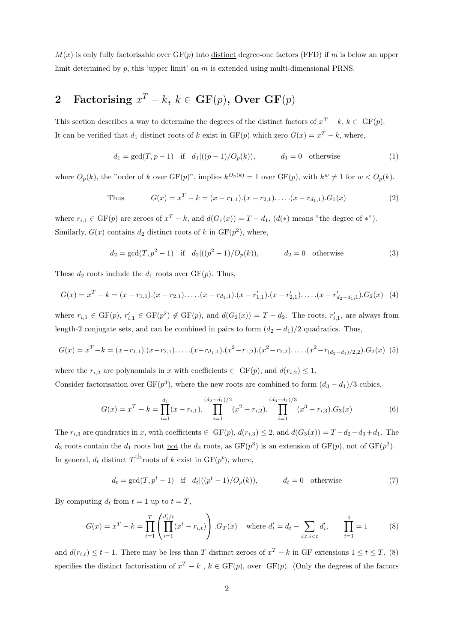$M(x)$  is only fully factorisable over  $GF(p)$  into distinct degree-one factors (FFD) if m is below an upper limit determined by  $p$ , this 'upper limit' on  $m$  is extended using multi-dimensional PRNS.

## 2 Factorising  $x^T - k$ ,  $k \in \mathbf{GF}(p)$ , Over  $\mathbf{GF}(p)$

This section describes a way to determine the degrees of the distinct factors of  $x^T - k$ ,  $k \in \text{GF}(p)$ . It can be verified that  $d_1$  distinct roots of k exist in GF(p) which zero  $G(x) = x^T - k$ , where,

$$
d_1 = \gcd(T, p-1)
$$
 if  $d_1|((p-1)/O_p(k)),$   $d_1 = 0$  otherwise (1)

where  $O_p(k)$ , the "order of k over  $GF(p)$ ", implies  $k^{O_p(k)} = 1$  over  $GF(p)$ , with  $k^w \neq 1$  for  $w < O_p(k)$ .

Thus 
$$
G(x) = x^T - k = (x - r_{1,1}).(x - r_{2,1}). \dots .(x - r_{d_1,1}).G_1(x)
$$
 (2)

where  $r_{i,1} \in \mathrm{GF}(p)$  are zeroes of  $x^T - k$ , and  $d(G_1(x)) = T - d_1$ ,  $(d(*)$  means "the degree of \*"). Similarly,  $G(x)$  contains  $d_2$  distinct roots of k in  $GF(p^2)$ , where,

$$
d_2 = \gcd(T, p^2 - 1) \quad \text{if} \quad d_2 |((p^2 - 1)/O_p(k)), \quad d_2 = 0 \quad \text{otherwise} \tag{3}
$$

These  $d_2$  roots include the  $d_1$  roots over  $GF(p)$ . Thus,

$$
G(x) = xT - k = (x - r1,1).(x - r2,1)....(x - rd1,1).(x - r'1,1).(x - r'2,1)....(x - r'd2-d1,1).G2(x)
$$
(4)

where  $r_{i,1} \in \text{GF}(p)$ ,  $r'_{i,1} \in \text{GF}(p^2) \notin \text{GF}(p)$ , and  $d(G_2(x)) = T - d_2$ . The roots,  $r'_{i,1}$ , are always from length-2 conjugate sets, and can be combined in pairs to form  $(d_2 - d_1)/2$  quadratics. Thus,

$$
G(x) = x^T - k = (x - r_{1,1}).(x - r_{2,1}). \dots (x - r_{d_1,1}).(x^2 - r_{1,2}).(x^2 - r_{2,2}). \dots (x^2 - r_{(d_2 - d_1)/2,2}).G_2(x)
$$
 (5)

where the  $r_{i,2}$  are polynomials in x with coefficients  $\in$  GF(p), and  $d(r_{i,2}) \leq 1$ .

Consider factorisation over  $GF(p^3)$ , where the new roots are combined to form  $(d_3 - d_1)/3$  cubics,

$$
G(x) = x^T - k = \prod_{i=1}^{d_1} (x - r_{i,1}). \prod_{i=1}^{(d_2 - d_1)/2} (x^2 - r_{i,2}). \prod_{i=1}^{(d_3 - d_1)/3} (x^3 - r_{i,3}). G_3(x)
$$
(6)

The  $r_{i,3}$  are quadratics in x, with coefficients  $\in$  GF(p),  $d(r_{i,3}) \leq 2$ , and  $d(G_3(x)) = T - d_2 - d_3 + d_1$ . The  $d_3$  roots contain the  $d_1$  roots but <u>not</u> the  $d_2$  roots, as  $GF(p^3)$  is an extension of  $GF(p)$ , not of  $GF(p^2)$ . In general,  $d_t$  distinct  $T^{\text{th}}$  roots of k exist in  $GF(p^t)$ , where,

$$
d_t = \gcd(T, p^t - 1)
$$
 if  $d_t|((p^t - 1)/O_p(k)),$   $d_t = 0$  otherwise (7)

By computing  $d_t$  from  $t = 1$  up to  $t = T$ ,

$$
G(x) = x^{T} - k = \prod_{t=1}^{T} \left( \prod_{i=1}^{d_{t}/t} (x^{t} - r_{i,t}) \right) . G_{T}(x) \quad \text{where } d_{t}' = d_{t} - \sum_{i|t, i < t} d_{i}', \qquad \prod_{i=1}^{0} = 1 \tag{8}
$$

and  $d(r_{i,t}) \leq t-1$ . There may be less than T distinct zeroes of  $x^T - k$  in GF extensions  $1 \leq t \leq T$ . (8) specifies the distinct factorisation of  $x^T - k$ ,  $k \in \text{GF}(p)$ , over  $\text{GF}(p)$ . (Only the degrees of the factors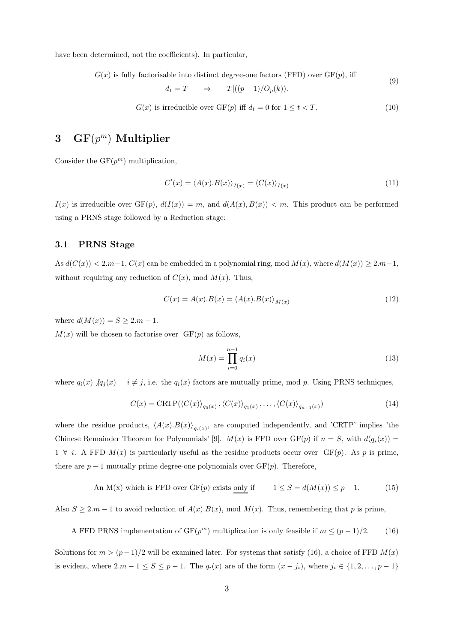have been determined, not the coefficients). In particular,

 $G(x)$  is fully factorisable into distinct degree-one factors (FFD) over  $GF(p)$ , iff

$$
d_1 = T \qquad \Rightarrow \qquad T | ((p-1)/O_p(k)).
$$

(9)

$$
G(x) \text{ is irreducible over } GF(p) \text{ iff } d_t = 0 \text{ for } 1 \le t < T. \tag{10}
$$

## 3  $\mathbf{GF}(p^m)$  Multiplier

Consider the  $GF(p^m)$  multiplication,

$$
C'(x) = \langle A(x).B(x) \rangle_{I(x)} = \langle C(x) \rangle_{I(x)}
$$
\n(11)

 $I(x)$  is irreducible over  $GF(p)$ ,  $d(I(x)) = m$ , and  $d(A(x), B(x)) < m$ . This product can be performed using a PRNS stage followed by a Reduction stage:

#### 3.1 PRNS Stage

As  $d(C(x)) < 2.m-1$ ,  $C(x)$  can be embedded in a polynomial ring, mod  $M(x)$ , where  $d(M(x)) \geq 2.m-1$ , without requiring any reduction of  $C(x)$ , mod  $M(x)$ . Thus,

$$
C(x) = A(x).B(x) = \langle A(x).B(x) \rangle_{M(x)}
$$
\n(12)

where  $d(M(x)) = S \ge 2.m - 1$ .

 $M(x)$  will be chosen to factorise over  $GF(p)$  as follows,

$$
M(x) = \prod_{i=0}^{n-1} q_i(x)
$$
 (13)

where  $q_i(x)$   $/q_j(x)$  i  $\neq j$ , i.e. the  $q_i(x)$  factors are mutually prime, mod p. Using PRNS techniques,

$$
C(x) = \text{CRTP}(\langle C(x) \rangle_{q_0(x)}, \langle C(x) \rangle_{q_1(x)}, \dots, \langle C(x) \rangle_{q_{n-1}(x)})
$$
\n(14)

where the residue products,  $\langle A(x), B(x) \rangle_{q_i(x)}$ , are computed independently, and 'CRTP' implies 'the Chinese Remainder Theorem for Polynomials' [9].  $M(x)$  is FFD over  $GF(p)$  if  $n = S$ , with  $d(q_i(x)) =$  $1 \forall i$ . A FFD  $M(x)$  is particularly useful as the residue products occur over  $GF(p)$ . As p is prime, there are  $p-1$  mutually prime degree-one polynomials over  $GF(p)$ . Therefore,

An M(x) which is FFD over GF(p) exists only if 
$$
1 \le S = d(M(x)) \le p - 1.
$$
 (15)

Also  $S \ge 2.m - 1$  to avoid reduction of  $A(x)B(x)$ , mod  $M(x)$ . Thus, remembering that p is prime,

A FFD PRNS implementation of  $GF(p^m)$  multiplication is only feasible if  $m \le (p-1)/2$ . (16)

Solutions for  $m > (p-1)/2$  will be examined later. For systems that satisfy (16), a choice of FFD  $M(x)$ is evident, where  $2m - 1 \le S \le p - 1$ . The  $q_i(x)$  are of the form  $(x - j_i)$ , where  $j_i \in \{1, 2, ..., p - 1\}$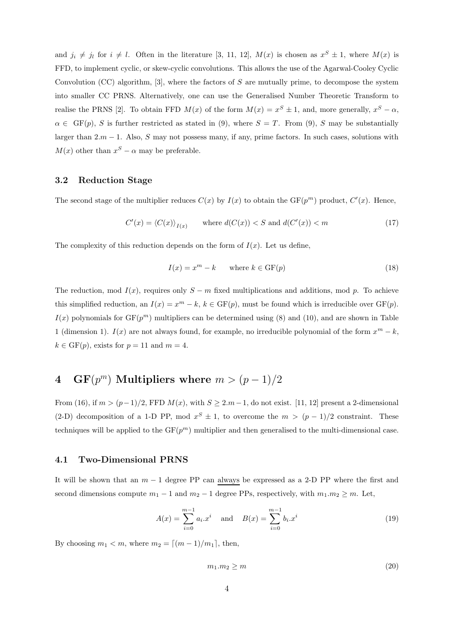and  $j_i \neq j_l$  for  $i \neq l$ . Often in the literature [3, 11, 12],  $M(x)$  is chosen as  $x^S \pm 1$ , where  $M(x)$  is FFD, to implement cyclic, or skew-cyclic convolutions. This allows the use of the Agarwal-Cooley Cyclic Convolution (CC) algorithm,  $[3]$ , where the factors of S are mutually prime, to decompose the system into smaller CC PRNS. Alternatively, one can use the Generalised Number Theoretic Transform to realise the PRNS [2]. To obtain FFD  $M(x)$  of the form  $M(x) = x^S \pm 1$ , and, more generally,  $x^S - \alpha$ ,  $\alpha \in \text{GF}(p)$ , S is further restricted as stated in (9), where  $S = T$ . From (9), S may be substantially larger than  $2.m - 1$ . Also, S may not possess many, if any, prime factors. In such cases, solutions with  $M(x)$  other than  $x^{S} - \alpha$  may be preferable.

#### 3.2 Reduction Stage

The second stage of the multiplier reduces  $C(x)$  by  $I(x)$  to obtain the  $GF(p^m)$  product,  $C'(x)$ . Hence,

$$
C'(x) = \langle C(x) \rangle_{I(x)} \quad \text{where } d(C(x)) < S \text{ and } d(C'(x)) < m \tag{17}
$$

The complexity of this reduction depends on the form of  $I(x)$ . Let us define,

$$
I(x) = xm - k \qquad \text{where } k \in \text{GF}(p) \tag{18}
$$

The reduction, mod  $I(x)$ , requires only  $S - m$  fixed multiplications and additions, mod p. To achieve this simplified reduction, an  $I(x) = x^m - k$ ,  $k \in \text{GF}(p)$ , must be found which is irreducible over  $\text{GF}(p)$ .  $I(x)$  polynomials for  $GF(p^m)$  multipliers can be determined using (8) and (10), and are shown in Table 1 (dimension 1).  $I(x)$  are not always found, for example, no irreducible polynomial of the form  $x^m - k$ ,  $k \in \text{GF}(p)$ , exists for  $p = 11$  and  $m = 4$ .

## 4 GF $(p^m)$  Multipliers where  $m > (p-1)/2$

From (16), if  $m > (p-1)/2$ , FFD  $M(x)$ , with  $S \geq 2.m-1$ , do not exist. [11, 12] present a 2-dimensional (2-D) decomposition of a 1-D PP, mod  $x^S \pm 1$ , to overcome the  $m > (p-1)/2$  constraint. These techniques will be applied to the  $GF(p^m)$  multiplier and then generalised to the multi-dimensional case.

#### 4.1 Two-Dimensional PRNS

It will be shown that an  $m-1$  degree PP can always be expressed as a 2-D PP where the first and second dimensions compute  $m_1 - 1$  and  $m_2 - 1$  degree PPs, respectively, with  $m_1 \cdot m_2 \geq m$ . Let,

$$
A(x) = \sum_{i=0}^{m-1} a_i x^i \quad \text{and} \quad B(x) = \sum_{i=0}^{m-1} b_i x^i \tag{19}
$$

By choosing  $m_1 < m$ , where  $m_2 = \lfloor (m-1)/m_1 \rfloor$ , then,

$$
m_1.m_2 \ge m \tag{20}
$$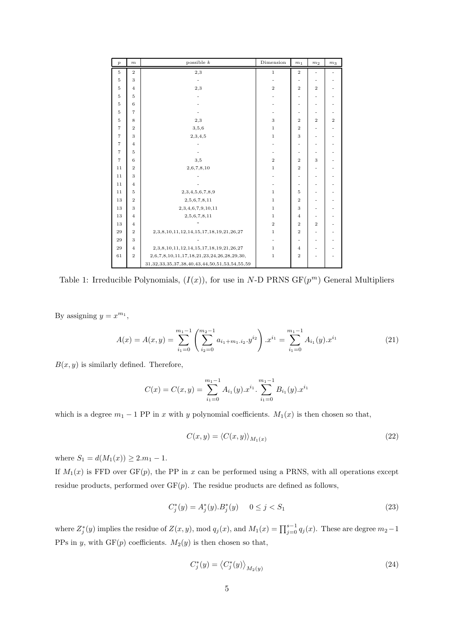| $\overline{p}$    | $\,m$          | possible $k$                                               | Dimension      | m <sub>1</sub> | m <sub>2</sub> | m <sub>3</sub> |
|-------------------|----------------|------------------------------------------------------------|----------------|----------------|----------------|----------------|
| $\overline{5}$    | $\overline{2}$ | 2,3                                                        | $\mathbf 1$    | $\overline{2}$ |                |                |
| $5\,$             | 3              |                                                            |                | ٠              |                |                |
| $5\,$             | $\overline{4}$ | 2,3                                                        | $\,2\,$        | $\overline{2}$ | $\overline{2}$ |                |
| $5\,$             | 5              |                                                            |                | ۰              |                |                |
| 5                 | 6              |                                                            |                | ۰              |                |                |
| $5\,$             | $\overline{7}$ |                                                            |                | ۰              |                |                |
| $5\,$             | 8              | 2,3                                                        | 3              | $\overline{2}$ | $\overline{2}$ | $\,2$          |
| $\scriptstyle{7}$ | $\overline{2}$ | 3,5,6                                                      | $\mathbf 1$    | $\overline{2}$ |                |                |
| $\scriptstyle{7}$ | 3              | 2,3,4,5                                                    | $\mathbf 1$    | 3              |                |                |
| $\scriptstyle{7}$ | $\overline{4}$ |                                                            |                | -              |                |                |
| $\overline{7}$    | 5              |                                                            |                | ۰              |                |                |
| $\overline{7}$    | 6              | 3,5                                                        | $\overline{2}$ | $\overline{2}$ | 3              |                |
| 11                | $\overline{2}$ | 2,6,7,8,10                                                 | $\mathbf 1$    | $\overline{2}$ |                |                |
| 11                | 3              |                                                            |                | ۰              |                |                |
| 11                | $\overline{4}$ |                                                            |                | -              |                |                |
| 11                | 5              | 2, 3, 4, 5, 6, 7, 8, 9                                     | $\mathbf{1}$   | $\bf 5$        | ٠              |                |
| 13                | $\overline{2}$ | 2,5,6,7,8,11                                               | $\mathbf 1$    | $\overline{2}$ |                |                |
| 13                | 3              | 2,3,4,6,7,9,10,11                                          | $\mathbf 1$    | 3              |                |                |
| 13                | $\overline{4}$ | 2,5,6,7,8,11                                               | $\mathbf 1$    | $\overline{4}$ |                |                |
| 13                | $\overline{4}$ | ,,                                                         | $\,2$          | $\overline{2}$ | $\overline{2}$ |                |
| 29                | $\overline{2}$ | 2, 3, 8, 10, 11, 12, 14, 15, 17, 18, 19, 21, 26, 27        | $\,1$          | $\overline{2}$ |                |                |
| 29                | 3              |                                                            |                | -              |                |                |
| 29                | $\overline{4}$ | 2, 3, 8, 10, 11, 12, 14, 15, 17, 18, 19, 21, 26, 27        | $\mathbf 1$    | $\overline{4}$ |                |                |
| 61                | $\overline{2}$ | 2,6,7,8,10,11,17,18,21,23,24,26,28,29,30,                  | $\mathbf 1$    | $\overline{2}$ |                |                |
|                   |                | 31, 32, 33, 35, 37, 38, 40, 43, 44, 50, 51, 53, 54, 55, 59 |                |                |                |                |

Table 1: Irreducible Polynomials,  $(I(x))$ , for use in N-D PRNS  $GF(p^m)$  General Multipliers

By assigning  $y = x^{m_1}$ ,

$$
A(x) = A(x,y) = \sum_{i_1=0}^{m_1-1} \left( \sum_{i_2=0}^{m_2-1} a_{i_1+m_1,i_2} \cdot y^{i_2} \right) \cdot x^{i_1} = \sum_{i_1=0}^{m_1-1} A_{i_1}(y) \cdot x^{i_1} \tag{21}
$$

 $B(x, y)$  is similarly defined. Therefore,

$$
C(x) = C(x, y) = \sum_{i_1=0}^{m_1-1} A_{i_1}(y) \cdot x^{i_1} \cdot \sum_{i_1=0}^{m_1-1} B_{i_1}(y) \cdot x^{i_1}
$$

which is a degree  $m_1 - 1$  PP in x with y polynomial coefficients.  $M_1(x)$  is then chosen so that,

$$
C(x,y) = \langle C(x,y) \rangle_{M_1(x)}\tag{22}
$$

where  $S_1 = d(M_1(x)) \ge 2.m_1 - 1$ .

If  $M_1(x)$  is FFD over GF(p), the PP in x can be performed using a PRNS, with all operations except residue products, performed over  $GF(p)$ . The residue products are defined as follows,

$$
C_j^*(y) = A_j^*(y).B_j^*(y) \qquad 0 \le j < S_1 \tag{23}
$$

where  $Z_j^*(y)$  implies the residue of  $Z(x, y)$ , mod  $q_j(x)$ , and  $M_1(x) = \prod_{j=0}^{s-1} q_j(x)$ . These are degree  $m_2-1$ PPs in y, with  $GF(p)$  coefficients.  $M_2(y)$  is then chosen so that,

$$
C_j^*(y) = \left\langle C_j^*(y) \right\rangle_{M_2(y)}\tag{24}
$$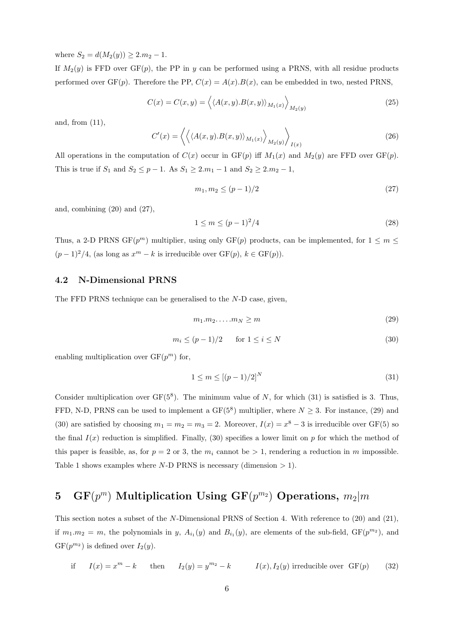where  $S_2 = d(M_2(y)) \geq 2.m_2 - 1$ .

If  $M_2(y)$  is FFD over GF(p), the PP in y can be performed using a PRNS, with all residue products performed over  $GF(p)$ . Therefore the PP,  $C(x) = A(x)B(x)$ , can be embedded in two, nested PRNS,

$$
C(x) = C(x, y) = \left\langle \langle A(x, y), B(x, y) \rangle_{M_1(x)} \right\rangle_{M_2(y)}
$$
\n(25)

and, from (11),

$$
C'(x) = \left\langle \left\langle \langle A(x,y), B(x,y) \rangle_{M_1(x)} \right\rangle_{M_2(y)} \right\rangle_{I(x)}
$$
\n(26)

All operations in the computation of  $C(x)$  occur in  $GF(p)$  iff  $M_1(x)$  and  $M_2(y)$  are FFD over  $GF(p)$ . This is true if  $S_1$  and  $S_2 \le p - 1$ . As  $S_1 \ge 2 \cdot m_1 - 1$  and  $S_2 \ge 2 \cdot m_2 - 1$ ,

$$
m_1, m_2 \le (p-1)/2 \tag{27}
$$

and, combining (20) and (27),

$$
1 \le m \le (p-1)^2/4 \tag{28}
$$

Thus, a 2-D PRNS GF( $p^m$ ) multiplier, using only GF( $p$ ) products, can be implemented, for  $1 \leq m \leq$  $(p-1)^2/4$ , (as long as  $x^m - k$  is irreducible over  $GF(p)$ ,  $k \in GF(p)$ ).

### 4.2 N-Dimensional PRNS

The FFD PRNS technique can be generalised to the N-D case, given,

$$
m_1.m_2.\ldots.m_N \ge m \tag{29}
$$

$$
m_i \le (p-1)/2 \qquad \text{for } 1 \le i \le N \tag{30}
$$

enabling multiplication over  $GF(p^m)$  for,

$$
1 \le m \le \left[ (p-1)/2 \right]^N \tag{31}
$$

Consider multiplication over  $GF(5^8)$ . The minimum value of N, for which (31) is satisfied is 3. Thus, FFD, N-D, PRNS can be used to implement a  $GF(5^8)$  multiplier, where  $N \geq 3$ . For instance, (29) and (30) are satisfied by choosing  $m_1 = m_2 = m_3 = 2$ . Moreover,  $I(x) = x^8 - 3$  is irreducible over GF(5) so the final  $I(x)$  reduction is simplified. Finally, (30) specifies a lower limit on p for which the method of this paper is feasible, as, for  $p = 2$  or 3, the  $m_i$  cannot be  $> 1$ , rendering a reduction in m impossible. Table 1 shows examples where N-D PRNS is necessary (dimension  $> 1$ ).

## $5\quad\text{GF}(p^m)\text{ Multiplication Using }\text{GF}(p^{m_2})\text{ Operations},\ m_2|m$

This section notes a subset of the N-Dimensional PRNS of Section 4. With reference to (20) and (21), if  $m_1.m_2 = m$ , the polynomials in y,  $A_{i_1}(y)$  and  $B_{i_1}(y)$ , are elements of the sub-field,  $GF(p^{m_2})$ , and  $GF(p^{m_2})$  is defined over  $I_2(y)$ .

if 
$$
I(x) = x^m - k
$$
 then  $I_2(y) = y^{m_2} - k$   $I(x), I_2(y)$  irreducible over GF(*p*) (32)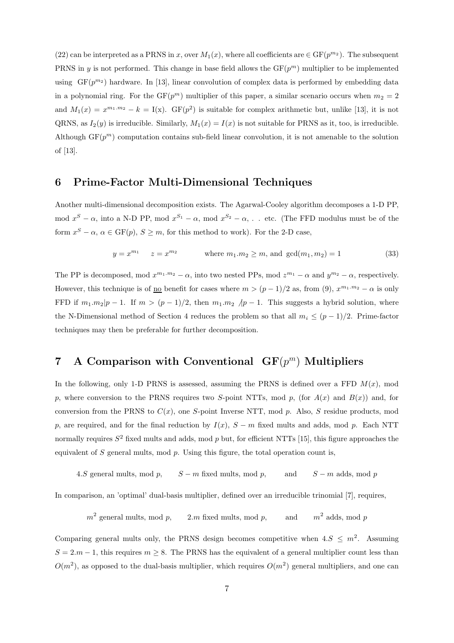(22) can be interpreted as a PRNS in x, over  $M_1(x)$ , where all coefficients are  $\in$  GF $(p^{m_2})$ . The subsequent PRNS in y is not performed. This change in base field allows the  $GF(p^m)$  multiplier to be implemented using  $GF(p^{m_2})$  hardware. In [13], linear convolution of complex data is performed by embedding data in a polynomial ring. For the  $GF(p^m)$  multiplier of this paper, a similar scenario occurs when  $m_2 = 2$ and  $M_1(x) = x^{m_1 \cdot m_2} - k = I(x)$ . GF(p<sup>2</sup>) is suitable for complex arithmetic but, unlike [13], it is not QRNS, as  $I_2(y)$  is irreducible. Similarly,  $M_1(x) = I(x)$  is not suitable for PRNS as it, too, is irreducible. Although  $GF(p^m)$  computation contains sub-field linear convolution, it is not amenable to the solution of [13].

### 6 Prime-Factor Multi-Dimensional Techniques

Another multi-dimensional decomposition exists. The Agarwal-Cooley algorithm decomposes a 1-D PP, mod  $x^S - \alpha$ , into a N-D PP, mod  $x^{S_1} - \alpha$ , mod  $x^{S_2} - \alpha$ , ... etc. (The FFD modulus must be of the form  $x^S - \alpha$ ,  $\alpha \in \text{GF}(p)$ ,  $S \geq m$ , for this method to work). For the 2-D case,

$$
y = x^{m_1}
$$
  $z = x^{m_2}$  where  $m_1.m_2 \ge m$ , and  $gcd(m_1, m_2) = 1$  (33)

The PP is decomposed, mod  $x^{m_1 \cdot m_2} - \alpha$ , into two nested PPs, mod  $z^{m_1} - \alpha$  and  $y^{m_2} - \alpha$ , respectively. However, this technique is of <u>no</u> benefit for cases where  $m > (p-1)/2$  as, from (9),  $x^{m_1 \cdot m_2} - \alpha$  is only FFD if  $m_1.m_2|p-1$ . If  $m > (p-1)/2$ , then  $m_1.m_2/p-1$ . This suggests a hybrid solution, where the N-Dimensional method of Section 4 reduces the problem so that all  $m_i \le (p-1)/2$ . Prime-factor techniques may then be preferable for further decomposition.

## 7 A Comparison with Conventional  $GF(p^m)$  Multipliers

In the following, only 1-D PRNS is assessed, assuming the PRNS is defined over a FFD  $M(x)$ , mod p, where conversion to the PRNS requires two S-point NTTs, mod p, (for  $A(x)$  and  $B(x)$ ) and, for conversion from the PRNS to  $C(x)$ , one S-point Inverse NTT, mod p. Also, S residue products, mod p, are required, and for the final reduction by  $I(x)$ ,  $S - m$  fixed mults and adds, mod p. Each NTT normally requires  $S^2$  fixed mults and adds, mod p but, for efficient NTTs [15], this figure approaches the equivalent of  $S$  general mults, mod  $p$ . Using this figure, the total operation count is,

4.S general mults, mod p,  $S - m$  fixed mults, mod p, and  $S - m$  adds, mod p

In comparison, an 'optimal' dual-basis multiplier, defined over an irreducible trinomial [7], requires,

```
m^2 general mults, mod p.
                  2.m fixed mults, mod p, and
                                                         m<sup>2</sup> adds, mod p
```
Comparing general mults only, the PRNS design becomes competitive when  $4.S \leq m^2$ . Assuming  $S = 2m - 1$ , this requires  $m \geq 8$ . The PRNS has the equivalent of a general multiplier count less than  $O(m^2)$ , as opposed to the dual-basis multiplier, which requires  $O(m^2)$  general multipliers, and one can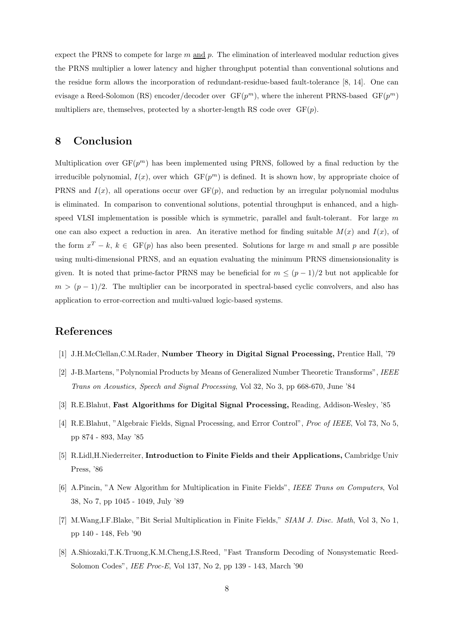expect the PRNS to compete for large  $m$  and  $p$ . The elimination of interleaved modular reduction gives the PRNS multiplier a lower latency and higher throughput potential than conventional solutions and the residue form allows the incorporation of redundant-residue-based fault-tolerance [8, 14]. One can evisage a Reed-Solomon (RS) encoder/decoder over  $GF(p^m)$ , where the inherent PRNS-based  $GF(p^m)$ multipliers are, themselves, protected by a shorter-length RS code over  $GF(p)$ .

### 8 Conclusion

Multiplication over  $GF(p^m)$  has been implemented using PRNS, followed by a final reduction by the irreducible polynomial,  $I(x)$ , over which  $GF(p^m)$  is defined. It is shown how, by appropriate choice of PRNS and  $I(x)$ , all operations occur over  $GF(p)$ , and reduction by an irregular polynomial modulus is eliminated. In comparison to conventional solutions, potential throughput is enhanced, and a highspeed VLSI implementation is possible which is symmetric, parallel and fault-tolerant. For large  $m$ one can also expect a reduction in area. An iterative method for finding suitable  $M(x)$  and  $I(x)$ , of the form  $x^T - k$ ,  $k \in \text{GF}(p)$  has also been presented. Solutions for large m and small p are possible using multi-dimensional PRNS, and an equation evaluating the minimum PRNS dimensionsionality is given. It is noted that prime-factor PRNS may be beneficial for  $m \le (p-1)/2$  but not applicable for  $m > (p-1)/2$ . The multiplier can be incorporated in spectral-based cyclic convolvers, and also has application to error-correction and multi-valued logic-based systems.

### References

- [1] J.H.McClellan,C.M.Rader, Number Theory in Digital Signal Processing, Prentice Hall, '79
- [2] J-B.Martens, "Polynomial Products by Means of Generalized Number Theoretic Transforms", IEEE Trans on Acoustics, Speech and Signal Processing, Vol 32, No 3, pp 668-670, June '84
- [3] R.E.Blahut, Fast Algorithms for Digital Signal Processing, Reading, Addison-Wesley, '85
- [4] R.E.Blahut, "Algebraic Fields, Signal Processing, and Error Control", *Proc of IEEE*, Vol 73, No 5, pp 874 - 893, May '85
- [5] R.Lidl,H.Niederreiter, Introduction to Finite Fields and their Applications, Cambridge Univ Press, '86
- [6] A.Pincin, "A New Algorithm for Multiplication in Finite Fields", IEEE Trans on Computers, Vol 38, No 7, pp 1045 - 1049, July '89
- [7] M.Wang,I.F.Blake, "Bit Serial Multiplication in Finite Fields," SIAM J. Disc. Math, Vol 3, No 1, pp 140 - 148, Feb '90
- [8] A.Shiozaki,T.K.Truong,K.M.Cheng,I.S.Reed, "Fast Transform Decoding of Nonsystematic Reed-Solomon Codes", IEE Proc-E, Vol 137, No 2, pp 139 - 143, March '90